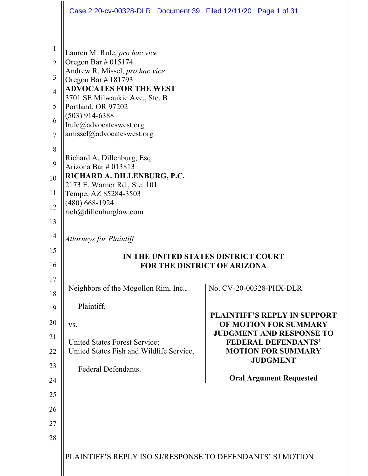|                | Case 2:20-cv-00328-DLR Document 39 Filed 12/11/20 Page 1 of 31  |                                                          |
|----------------|-----------------------------------------------------------------|----------------------------------------------------------|
|                |                                                                 |                                                          |
| $\mathbf{1}$   | Lauren M. Rule, pro hac vice                                    |                                                          |
| $\overline{2}$ | Oregon Bar $\#$ 015174                                          |                                                          |
| 3              | Andrew R. Missel, pro hac vice<br>Oregon Bar #181793            |                                                          |
| $\overline{4}$ | <b>ADVOCATES FOR THE WEST</b><br>3701 SE Milwaukie Ave., Ste. B |                                                          |
| 5              | Portland, OR 97202                                              |                                                          |
| 6              | $(503)$ 914-6388<br>lrule@advocateswest.org                     |                                                          |
| $\overline{7}$ | amissel@advocateswest.org                                       |                                                          |
| 8              |                                                                 |                                                          |
| 9              | Richard A. Dillenburg, Esq.<br>Arizona Bar $\#$ 013813          |                                                          |
| 10             | RICHARD A. DILLENBURG, P.C.<br>2173 E. Warner Rd., Ste. 101     |                                                          |
| 11             | Tempe, AZ 85284-3503                                            |                                                          |
| 12             | $(480)$ 668-1924<br>rich@dillenburglaw.com                      |                                                          |
| 13             |                                                                 |                                                          |
| 14             | <b>Attorneys for Plaintiff</b>                                  |                                                          |
| 15             | IN THE UNITED STATES DISTRICT COURT                             |                                                          |
| 16             | FOR THE DISTRICT OF ARIZONA                                     |                                                          |
| 17             | Neighbors of the Mogollon Rim, Inc.,                            | No. CV-20-00328-PHX-DLR                                  |
| 18             |                                                                 |                                                          |
| 19             | Plaintiff,                                                      | <b>PLAINTIFF'S REPLY IN SUPPORT</b>                      |
| 20             | VS.                                                             | OF MOTION FOR SUMMARY<br><b>JUDGMENT AND RESPONSE TO</b> |
| 21             | United States Forest Service;                                   | <b>FEDERAL DEFENDANTS'</b>                               |
| 22             | United States Fish and Wildlife Service,                        | <b>MOTION FOR SUMMARY</b><br><b>JUDGMENT</b>             |
| 23             | Federal Defendants.                                             | <b>Oral Argument Requested</b>                           |
| 24             |                                                                 |                                                          |
| 25<br>26       |                                                                 |                                                          |
| 27             |                                                                 |                                                          |
| 28             |                                                                 |                                                          |
|                |                                                                 |                                                          |
|                | PLAINTIFF'S REPLY ISO SJ/RESPONSE TO DEFENDANTS' SJ MOTION      |                                                          |
|                |                                                                 |                                                          |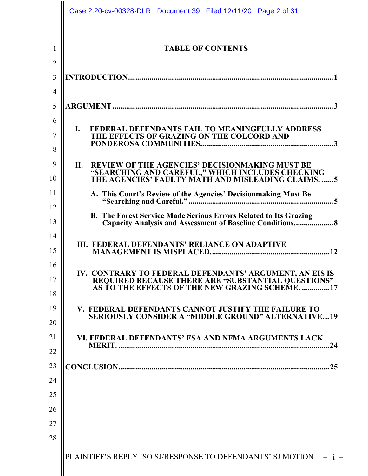|                     | Case 2:20-cv-00328-DLR Document 39 Filed 12/11/20 Page 2 of 31                                                                                                                |
|---------------------|-------------------------------------------------------------------------------------------------------------------------------------------------------------------------------|
| 1<br>$\overline{2}$ | <b>TABLE OF CONTENTS</b>                                                                                                                                                      |
| 3                   |                                                                                                                                                                               |
| 4                   |                                                                                                                                                                               |
| 5                   |                                                                                                                                                                               |
| 6<br>7<br>8         | FEDERAL DEFENDANTS FAIL TO MEANINGFULLY ADDRESS<br>$\mathbf{I}$ .<br>THE EFFECTS OF GRAZING ON THE COLCORD AND                                                                |
| 9<br>10             | <b>REVIEW OF THE AGENCIES' DECISIONMAKING MUST BE</b><br><b>II.</b><br>"SEARCHING AND CAREFUL," WHICH INCLUDES CHECKING<br>THE AGENCIES' FAULTY MATH AND MISLEADING CLAIMS. 5 |
| 11                  |                                                                                                                                                                               |
| 12<br>13            | <b>B. The Forest Service Made Serious Errors Related to Its Grazing</b><br>Capacity Analysis and Assessment of Baseline Conditions 8                                          |
| 14<br>15            | III. FEDERAL DEFENDANTS' RELIANCE ON ADAPTIVE                                                                                                                                 |
| 16<br>17<br>18      | IV. CONTRARY TO FEDERAL DEFENDANTS' ARGUMENT, AN EIS IS<br>REQUIRED BECAUSE THERE ARE "SUBSTANTIAL QUESTIONS"<br>AS TO THE EFFECTS OF THE NEW GRAZING SCHEME. 17              |
| 19<br>20            | V. FEDERAL DEFENDANTS CANNOT JUSTIFY THE FAILURE TO<br><b>SERIOUSLY CONSIDER A "MIDDLE GROUND" ALTERNATIVE19</b>                                                              |
| 21<br>22            | VI. FEDERAL DEFENDANTS' ESA AND NFMA ARGUMENTS LACK<br><b>MERIT.</b><br>.24                                                                                                   |
| 23                  |                                                                                                                                                                               |
| 24                  |                                                                                                                                                                               |
| 25                  |                                                                                                                                                                               |
| 26                  |                                                                                                                                                                               |
| 27                  |                                                                                                                                                                               |
| 28                  |                                                                                                                                                                               |
|                     | PLAINTIFF'S REPLY ISO SJ/RESPONSE TO DEFENDANTS' SJ MOTION – i –                                                                                                              |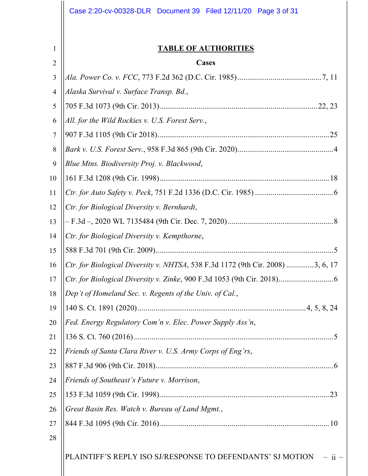|        | Case 2:20-cv-00328-DLR Document 39 Filed 12/11/20 Page 3 of 31                 |  |
|--------|--------------------------------------------------------------------------------|--|
| 1      | <b>TABLE OF AUTHORITIES</b>                                                    |  |
| 2      | Cases                                                                          |  |
| 3      |                                                                                |  |
| 4<br>5 | Alaska Survival v. Surface Transp. Bd.,                                        |  |
| 6      | All. for the Wild Rockies v. U.S. Forest Serv.,                                |  |
| $\tau$ |                                                                                |  |
| 8      |                                                                                |  |
| 9      | Blue Mtns. Biodiversity Proj. v. Blackwood,                                    |  |
| 10     |                                                                                |  |
| 11     |                                                                                |  |
| 12     | Ctr. for Biological Diversity v. Bernhardt,                                    |  |
| 13     |                                                                                |  |
| 14     | Ctr. for Biological Diversity v. Kempthorne,                                   |  |
| 15     |                                                                                |  |
| 16     | Ctr. for Biological Diversity v. NHTSA, 538 F.3d 1172 (9th Cir. 2008) 3, 6, 17 |  |
| 17     |                                                                                |  |
| 18     | Dep't of Homeland Sec. v. Regents of the Univ. of Cal.,                        |  |
| 19     |                                                                                |  |
| 20     | Fed. Energy Regulatory Com'n v. Elec. Power Supply Ass'n,                      |  |
| 21     |                                                                                |  |
| 22     | Friends of Santa Clara River v. U.S. Army Corps of Eng'rs,                     |  |
| 23     |                                                                                |  |
| 24     | Friends of Southeast's Future v. Morrison,                                     |  |
| 25     |                                                                                |  |
| 26     | Great Basin Res. Watch v. Bureau of Land Mgmt.,                                |  |
| 27     |                                                                                |  |
| 28     |                                                                                |  |
|        | PLAINTIFF'S REPLY ISO SJ/RESPONSE TO DEFENDANTS' SJ MOTION<br>$-$ ii $-$       |  |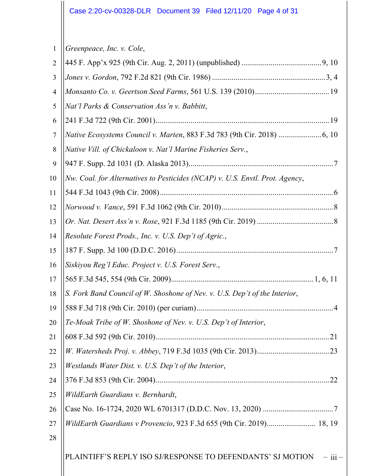1 *Greenpeace, Inc. v. Cole*,

| $\overline{2}$ |                                                                              |
|----------------|------------------------------------------------------------------------------|
| 3              |                                                                              |
| 4              |                                                                              |
| 5              | Nat'l Parks & Conservation Ass'n v. Babbitt,                                 |
| 6              |                                                                              |
| 7              |                                                                              |
| 8              | Native Vill. of Chickaloon v. Nat'l Marine Fisheries Serv.,                  |
| 9              |                                                                              |
| 10             | Nw. Coal. for Alternatives to Pesticides (NCAP) v. U.S. Envtl. Prot. Agency, |
| 11             |                                                                              |
| 12             |                                                                              |
| 13             |                                                                              |
| 14             | Resolute Forest Prods., Inc. v. U.S. Dep't of Agric.,                        |
| 15             |                                                                              |
| 16             | Siskiyou Reg'l Educ. Project v. U.S. Forest Serv.,                           |
| 17             |                                                                              |
| 18             | S. Fork Band Council of W. Shoshone of Nev. v. U.S. Dep't of the Interior,   |
| 19             |                                                                              |
| 20             | Te-Moak Tribe of W. Shoshone of Nev. v. U.S. Dep't of Interior,              |
| 21             |                                                                              |
| 22             |                                                                              |
| 23             | Westlands Water Dist. v. U.S. Dep't of the Interior,                         |
| 24             |                                                                              |
| 25             | WildEarth Guardians v. Bernhardt,                                            |
| 26             |                                                                              |
| 27             | WildEarth Guardians v Provencio, 923 F.3d 655 (9th Cir. 2019) 18, 19         |
| 28             |                                                                              |
|                | PLAINTIFF'S REPLY ISO SJ/RESPONSE TO DEFENDANTS' SJ MOTION<br>$-$ iii $-$    |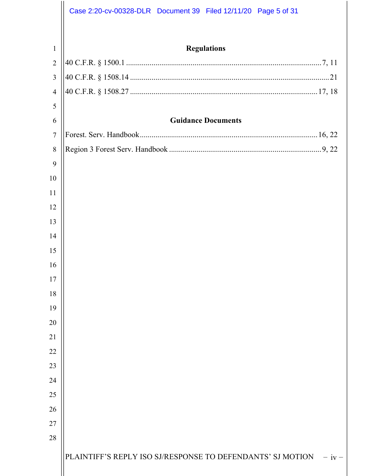|                | Case 2:20-cv-00328-DLR Document 39 Filed 12/11/20 Page 5 of 31       |
|----------------|----------------------------------------------------------------------|
|                |                                                                      |
| $\mathbf{1}$   | <b>Regulations</b>                                                   |
| $\overline{2}$ |                                                                      |
| 3              |                                                                      |
| $\overline{4}$ |                                                                      |
| 5              |                                                                      |
| 6              | <b>Guidance Documents</b>                                            |
| $\overline{7}$ |                                                                      |
| 8              |                                                                      |
| 9              |                                                                      |
| 10             |                                                                      |
| 11             |                                                                      |
| 12             |                                                                      |
| 13             |                                                                      |
| 14             |                                                                      |
| 15             |                                                                      |
| 16             |                                                                      |
| 17             |                                                                      |
| 18             |                                                                      |
| 19             |                                                                      |
| 20             |                                                                      |
| 21             |                                                                      |
| 22             |                                                                      |
| 23             |                                                                      |
| 24             |                                                                      |
| 25             |                                                                      |
| 26             |                                                                      |
| 27             |                                                                      |
| 28             |                                                                      |
|                | PLAINTIFF'S REPLY ISO SJ/RESPONSE TO DEFENDANTS' SJ MOTION<br>$-iv-$ |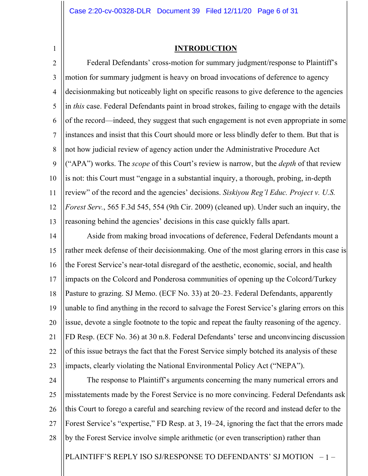1

#### **INTRODUCTION**

2 3 4 5 6 7 8 9 10 11 12 13 Federal Defendants' cross-motion for summary judgment/response to Plaintiff's motion for summary judgment is heavy on broad invocations of deference to agency decisionmaking but noticeably light on specific reasons to give deference to the agencies in *this* case. Federal Defendants paint in broad strokes, failing to engage with the details of the record—indeed, they suggest that such engagement is not even appropriate in some instances and insist that this Court should more or less blindly defer to them. But that is not how judicial review of agency action under the Administrative Procedure Act ("APA") works. The *scope* of this Court's review is narrow, but the *depth* of that review is not: this Court must "engage in a substantial inquiry, a thorough, probing, in-depth review" of the record and the agencies' decisions. *Siskiyou Reg'l Educ. Project v. U.S. Forest Serv.*, 565 F.3d 545, 554 (9th Cir. 2009) (cleaned up). Under such an inquiry, the reasoning behind the agencies' decisions in this case quickly falls apart.

14 15 16 17 18 19 20 21 22 23 Aside from making broad invocations of deference, Federal Defendants mount a rather meek defense of their decisionmaking. One of the most glaring errors in this case is the Forest Service's near-total disregard of the aesthetic, economic, social, and health impacts on the Colcord and Ponderosa communities of opening up the Colcord/Turkey Pasture to grazing. SJ Memo. (ECF No. 33) at 20–23. Federal Defendants, apparently unable to find anything in the record to salvage the Forest Service's glaring errors on this issue, devote a single footnote to the topic and repeat the faulty reasoning of the agency. FD Resp. (ECF No. 36) at 30 n.8. Federal Defendants' terse and unconvincing discussion of this issue betrays the fact that the Forest Service simply botched its analysis of these impacts, clearly violating the National Environmental Policy Act ("NEPA").

24 25 26 27 28 The response to Plaintiff's arguments concerning the many numerical errors and misstatements made by the Forest Service is no more convincing. Federal Defendants ask this Court to forego a careful and searching review of the record and instead defer to the Forest Service's "expertise," FD Resp. at 3, 19–24, ignoring the fact that the errors made by the Forest Service involve simple arithmetic (or even transcription) rather than

PLAINTIFF'S REPLY ISO SJ/RESPONSE TO DEFENDANTS' SJ MOTION – 1 –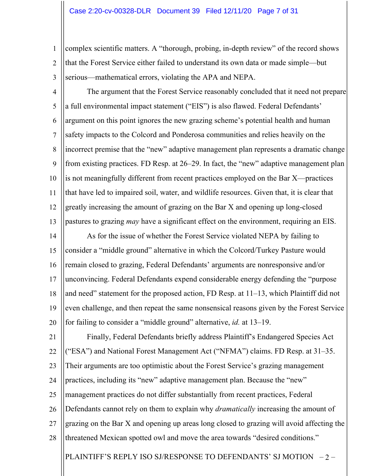1 2 3 complex scientific matters. A "thorough, probing, in-depth review" of the record shows that the Forest Service either failed to understand its own data or made simple—but serious—mathematical errors, violating the APA and NEPA.

- 4 5 6 7 8 9 10 11 12 13 The argument that the Forest Service reasonably concluded that it need not prepare a full environmental impact statement ("EIS") is also flawed. Federal Defendants' argument on this point ignores the new grazing scheme's potential health and human safety impacts to the Colcord and Ponderosa communities and relies heavily on the incorrect premise that the "new" adaptive management plan represents a dramatic change from existing practices. FD Resp. at 26–29. In fact, the "new" adaptive management plan is not meaningfully different from recent practices employed on the Bar X—practices that have led to impaired soil, water, and wildlife resources. Given that, it is clear that greatly increasing the amount of grazing on the Bar X and opening up long-closed pastures to grazing *may* have a significant effect on the environment, requiring an EIS.
- 14 15 16 17 18 19 20 As for the issue of whether the Forest Service violated NEPA by failing to consider a "middle ground" alternative in which the Colcord/Turkey Pasture would remain closed to grazing, Federal Defendants' arguments are nonresponsive and/or unconvincing. Federal Defendants expend considerable energy defending the "purpose and need" statement for the proposed action, FD Resp. at 11–13, which Plaintiff did not even challenge, and then repeat the same nonsensical reasons given by the Forest Service for failing to consider a "middle ground" alternative, *id.* at 13–19.
- PLAINTIFF'S REPLY ISO SJ/RESPONSE TO DEFENDANTS' SJ MOTION -2-21 22 23 24 25 26 27 28 Finally, Federal Defendants briefly address Plaintiff's Endangered Species Act ("ESA") and National Forest Management Act ("NFMA") claims. FD Resp. at 31–35. Their arguments are too optimistic about the Forest Service's grazing management practices, including its "new" adaptive management plan. Because the "new" management practices do not differ substantially from recent practices, Federal Defendants cannot rely on them to explain why *dramatically* increasing the amount of grazing on the Bar X and opening up areas long closed to grazing will avoid affecting the threatened Mexican spotted owl and move the area towards "desired conditions."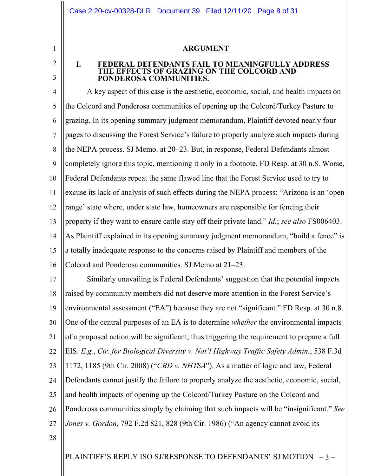#### **ARGUMENT**

### **I. FEDERAL DEFENDANTS FAIL TO MEANINGFULLY ADDRESS THE EFFECTS OF GRAZING ON THE COLCORD AND PONDEROSA COMMUNITIES.**

4 5 6 7 8 9 10 11 12 13 14 15 16 A key aspect of this case is the aesthetic, economic, social, and health impacts on the Colcord and Ponderosa communities of opening up the Colcord/Turkey Pasture to grazing. In its opening summary judgment memorandum, Plaintiff devoted nearly four pages to discussing the Forest Service's failure to properly analyze such impacts during the NEPA process. SJ Memo. at 20–23. But, in response, Federal Defendants almost completely ignore this topic, mentioning it only in a footnote. FD Resp. at 30 n.8. Worse, Federal Defendants repeat the same flawed line that the Forest Service used to try to excuse its lack of analysis of such effects during the NEPA process: "Arizona is an 'open range' state where, under state law, homeowners are responsible for fencing their property if they want to ensure cattle stay off their private land." *Id.*; *see also* FS006403. As Plaintiff explained in its opening summary judgment memorandum, "build a fence" is a totally inadequate response to the concerns raised by Plaintiff and members of the Colcord and Ponderosa communities. SJ Memo at 21–23.

17 18 19 20 21 22 23 24 25 26 27 Similarly unavailing is Federal Defendants' suggestion that the potential impacts raised by community members did not deserve more attention in the Forest Service's environmental assessment ("EA") because they are not "significant." FD Resp. at 30 n.8. One of the central purposes of an EA is to determine *whether* the environmental impacts of a proposed action will be significant, thus triggering the requirement to prepare a full EIS. *E.g.*, *Ctr. for Biological Diversity v. Nat'l Highway Traffic Safety Admin.*, 538 F.3d 1172, 1185 (9th Cir. 2008) ("*CBD v. NHTSA*"). As a matter of logic and law, Federal Defendants cannot justify the failure to properly analyze the aesthetic, economic, social, and health impacts of opening up the Colcord/Turkey Pasture on the Colcord and Ponderosa communities simply by claiming that such impacts will be "insignificant." *See Jones v. Gordon*, 792 F.2d 821, 828 (9th Cir. 1986) ("An agency cannot avoid its

28

1

2

3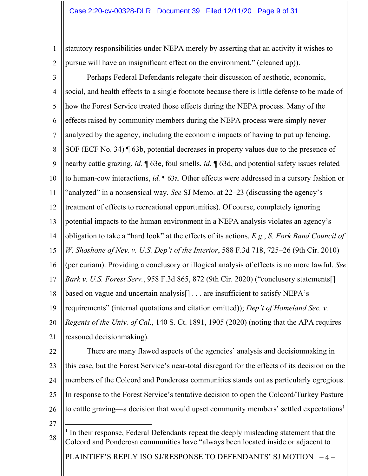1 2 statutory responsibilities under NEPA merely by asserting that an activity it wishes to pursue will have an insignificant effect on the environment." (cleaned up)).

3 4 5 6 7 8 9 10 11 12 13 14 15 16 17 18 19 20 21 Perhaps Federal Defendants relegate their discussion of aesthetic, economic, social, and health effects to a single footnote because there is little defense to be made of how the Forest Service treated those effects during the NEPA process. Many of the effects raised by community members during the NEPA process were simply never analyzed by the agency, including the economic impacts of having to put up fencing, SOF (ECF No. 34) ¶ 63b, potential decreases in property values due to the presence of nearby cattle grazing, *id.* ¶ 63e, foul smells, *id.* ¶ 63d, and potential safety issues related to human-cow interactions, *id.* ¶ 63a. Other effects were addressed in a cursory fashion or "analyzed" in a nonsensical way. *See* SJ Memo. at 22–23 (discussing the agency's treatment of effects to recreational opportunities). Of course, completely ignoring potential impacts to the human environment in a NEPA analysis violates an agency's obligation to take a "hard look" at the effects of its actions. *E.g.*, *S. Fork Band Council of W. Shoshone of Nev. v. U.S. Dep't of the Interior*, 588 F.3d 718, 725–26 (9th Cir. 2010) (per curiam). Providing a conclusory or illogical analysis of effects is no more lawful. *See Bark v. U.S. Forest Serv.*, 958 F.3d 865, 872 (9th Cir. 2020) ("conclusory statements[] based on vague and uncertain analysis[] . . . are insufficient to satisfy NEPA's requirements" (internal quotations and citation omitted)); *Dep't of Homeland Sec. v. Regents of the Univ. of Cal.*, 140 S. Ct. 1891, 1905 (2020) (noting that the APA requires reasoned decisionmaking).

22 23

24 25 26 There are many flawed aspects of the agencies' analysis and decisionmaking in this case, but the Forest Service's near-total disregard for the effects of its decision on the members of the Colcord and Ponderosa communities stands out as particularly egregious. In response to the Forest Service's tentative decision to open the Colcord/Turkey Pasture to cattle grazing—a decision that would upset community members' settled expectations<sup>1</sup>

27

28  $<sup>1</sup>$  In their response, Federal Defendants repeat the deeply misleading statement that the</sup> Colcord and Ponderosa communities have "always been located inside or adjacent to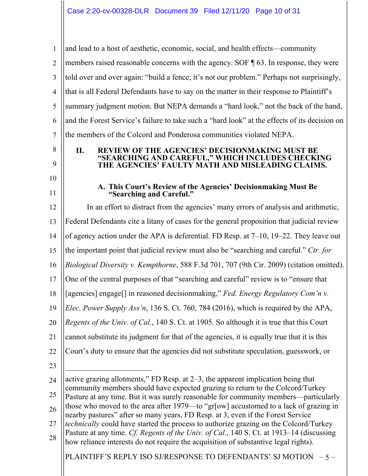PLAINTIFF'S REPLY ISO SJ/RESPONSE TO DEFENDANTS' SJ MOTION  $-5$ 1 2 3 4 5 6 7 8 9 10 11 12 13 14 15 16 17 18 19 20 21 22 23 24 25 26 27 28 and lead to a host of aesthetic, economic, social, and health effects—community members raised reasonable concerns with the agency. SOF ¶ 63. In response, they were told over and over again: "build a fence; it's not our problem." Perhaps not surprisingly, that is all Federal Defendants have to say on the matter in their response to Plaintiff's summary judgment motion. But NEPA demands a "hard look," not the back of the hand, and the Forest Service's failure to take such a "hard look" at the effects of its decision on the members of the Colcord and Ponderosa communities violated NEPA. **II. REVIEW OF THE AGENCIES' DECISIONMAKING MUST BE "SEARCHING AND CAREFUL," WHICH INCLUDES CHECKING THE AGENCIES' FAULTY MATH AND MISLEADING CLAIMS. A. This Court's Review of the Agencies' Decisionmaking Must Be "Searching and Careful."** In an effort to distract from the agencies' many errors of analysis and arithmetic, Federal Defendants cite a litany of cases for the general proposition that judicial review of agency action under the APA is deferential. FD Resp. at 7–10, 19–22. They leave out the important point that judicial review must also be "searching and careful." *Ctr. for Biological Diversity v. Kempthorne*, 588 F.3d 701, 707 (9th Cir. 2009) (citation omitted). One of the central purposes of that "searching and careful" review is to "ensure that [agencies] engage[] in reasoned decisionmaking," *Fed. Energy Regulatory Com'n v. Elec. Power Supply Ass'n*, 136 S. Ct. 760, 784 (2016), which is required by the APA, *Regents of the Univ. of Cal.*, 140 S. Ct. at 1905. So although it is true that this Court cannot substitute its judgment for that of the agencies, it is equally true that it is this Court's duty to ensure that the agencies did not substitute speculation, guesswork, or active grazing allotments," FD Resp. at 2–3, the apparent implication being that community members should have expected grazing to return to the Colcord/Turkey Pasture at any time. But it was surely reasonable for community members—particularly those who moved to the area after 1979—to "gr[ow] accustomed to a lack of grazing in nearby pastures" after so many years, FD Resp. at 3, even if the Forest Service *technically* could have started the process to authorize grazing on the Colcord/Turkey Pasture at any time. *Cf. Regents of the Univ. of Cal.*, 140 S. Ct. at 1913–14 (discussing how reliance interests do not require the acquisition of substantive legal rights).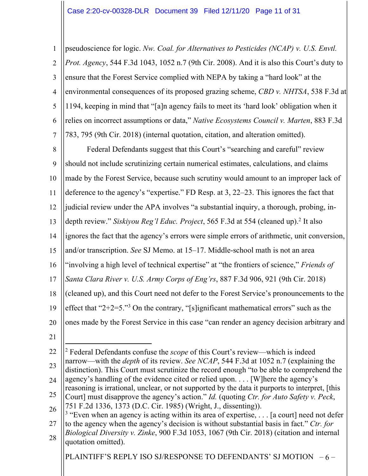1 2 3 4 5 6 7 pseudoscience for logic. *Nw. Coal. for Alternatives to Pesticides (NCAP) v. U.S. Envtl. Prot. Agency*, 544 F.3d 1043, 1052 n.7 (9th Cir. 2008). And it is also this Court's duty to ensure that the Forest Service complied with NEPA by taking a "hard look" at the environmental consequences of its proposed grazing scheme, *CBD v. NHTSA*, 538 F.3d at 1194, keeping in mind that "[a]n agency fails to meet its 'hard look' obligation when it relies on incorrect assumptions or data," *Native Ecosystems Council v. Marten*, 883 F.3d 783, 795 (9th Cir. 2018) (internal quotation, citation, and alteration omitted).

8 9 10 11 12 13 14 15 16 17 18 19 20 Federal Defendants suggest that this Court's "searching and careful" review should not include scrutinizing certain numerical estimates, calculations, and claims made by the Forest Service, because such scrutiny would amount to an improper lack of deference to the agency's "expertise." FD Resp. at 3, 22–23. This ignores the fact that judicial review under the APA involves "a substantial inquiry, a thorough, probing, indepth review." *Siskiyou Reg'l Educ. Project*, 565 F.3d at 554 (cleaned up).<sup>2</sup> It also ignores the fact that the agency's errors were simple errors of arithmetic, unit conversion, and/or transcription. *See* SJ Memo. at 15–17. Middle-school math is not an area "involving a high level of technical expertise" at "the frontiers of science," *Friends of Santa Clara River v. U.S. Army Corps of Eng'rs*, 887 F.3d 906, 921 (9th Cir. 2018) (cleaned up), and this Court need not defer to the Forest Service's pronouncements to the effect that " $2+2=5$ ."<sup>3</sup> On the contrary, "[s]ignificant mathematical errors" such as the ones made by the Forest Service in this case "can render an agency decision arbitrary and

21

PLAINTIFF'S REPLY ISO SJ/RESPONSE TO DEFENDANTS' SJ MOTION  $-6$  –

<sup>22</sup> 23 24 25 26 <sup>2</sup> Federal Defendants confuse the *scope* of this Court's review—which is indeed narrow—with the *depth* of its review. *See NCAP*, 544 F.3d at 1052 n.7 (explaining the distinction). This Court must scrutinize the record enough "to be able to comprehend the agency's handling of the evidence cited or relied upon. . . . [W]here the agency's reasoning is irrational, unclear, or not supported by the data it purports to interpret, [this Court] must disapprove the agency's action." *Id.* (quoting *Ctr. for Auto Safety v. Peck*, 751 F.2d 1336, 1373 (D.C. Cir. 1985) (Wright, J., dissenting)).

<sup>27</sup> 28  $3$  "Even when an agency is acting within its area of expertise, ... [a court] need not defer to the agency when the agency's decision is without substantial basis in fact." *Ctr. for Biological Diversity v. Zinke*, 900 F.3d 1053, 1067 (9th Cir. 2018) (citation and internal quotation omitted).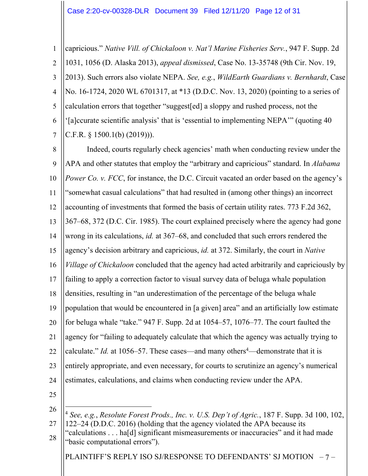1 2 3 4 5 6 7 capricious." *Native Vill. of Chickaloon v. Nat'l Marine Fisheries Serv.*, 947 F. Supp. 2d 1031, 1056 (D. Alaska 2013), *appeal dismissed*, Case No. 13-35748 (9th Cir. Nov. 19, 2013). Such errors also violate NEPA. *See, e.g.*, *WildEarth Guardians v. Bernhardt*, Case No. 16-1724, 2020 WL 6701317, at \*13 (D.D.C. Nov. 13, 2020) (pointing to a series of calculation errors that together "suggest[ed] a sloppy and rushed process, not the '[a]ccurate scientific analysis' that is 'essential to implementing NEPA'" (quoting 40 C.F.R. § 1500.1(b) (2019))).

8 9 10 11 12 13 14 15 16 17 18 19 20 21 22 23 24 Indeed, courts regularly check agencies' math when conducting review under the APA and other statutes that employ the "arbitrary and capricious" standard. In *Alabama Power Co. v. FCC*, for instance, the D.C. Circuit vacated an order based on the agency's "somewhat casual calculations" that had resulted in (among other things) an incorrect accounting of investments that formed the basis of certain utility rates. 773 F.2d 362, 367–68, 372 (D.C. Cir. 1985). The court explained precisely where the agency had gone wrong in its calculations, *id.* at 367–68, and concluded that such errors rendered the agency's decision arbitrary and capricious, *id.* at 372. Similarly, the court in *Native Village of Chickaloon* concluded that the agency had acted arbitrarily and capriciously by failing to apply a correction factor to visual survey data of beluga whale population densities, resulting in "an underestimation of the percentage of the beluga whale population that would be encountered in [a given] area" and an artificially low estimate for beluga whale "take." 947 F. Supp. 2d at 1054–57, 1076–77. The court faulted the agency for "failing to adequately calculate that which the agency was actually trying to calculate." *Id.* at 1056–57. These cases—and many others<sup>4</sup>—demonstrate that it is entirely appropriate, and even necessary, for courts to scrutinize an agency's numerical estimates, calculations, and claims when conducting review under the APA.

25

PLAINTIFF'S REPLY ISO SJ/RESPONSE TO DEFENDANTS' SJ MOTION – 7 –

<sup>26</sup> 27 <sup>4</sup> *See, e.g.*, *Resolute Forest Prods., Inc. v. U.S. Dep't of Agric.*, 187 F. Supp. 3d 100, 102, 122–24 (D.D.C. 2016) (holding that the agency violated the APA because its

<sup>28</sup> "calculations . . . ha[d] significant mismeasurements or inaccuracies" and it had made "basic computational errors").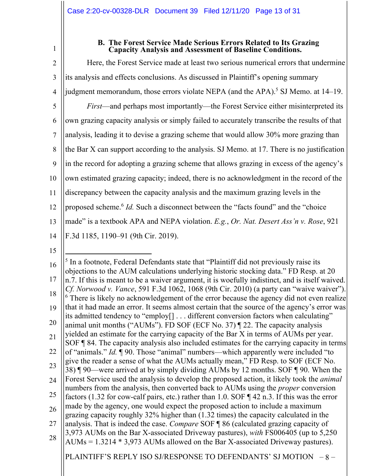1

## **B. The Forest Service Made Serious Errors Related to Its Grazing Capacity Analysis and Assessment of Baseline Conditions.**

2 3 4 5 6 7 8 9 10 11 12 13 14 15 16 17 18 19 20 21 22 23 24 25 Here, the Forest Service made at least two serious numerical errors that undermine its analysis and effects conclusions. As discussed in Plaintiff's opening summary judgment memorandum, those errors violate NEPA (and the APA).<sup>5</sup> SJ Memo. at  $14-19$ . *First*—and perhaps most importantly—the Forest Service either misinterpreted its own grazing capacity analysis or simply failed to accurately transcribe the results of that analysis, leading it to devise a grazing scheme that would allow 30% more grazing than the Bar X can support according to the analysis. SJ Memo. at 17. There is no justification in the record for adopting a grazing scheme that allows grazing in excess of the agency's own estimated grazing capacity; indeed, there is no acknowledgment in the record of the discrepancy between the capacity analysis and the maximum grazing levels in the proposed scheme.6 *Id.* Such a disconnect between the "facts found" and the "choice made" is a textbook APA and NEPA violation. *E.g.*, *Or. Nat. Desert Ass'n v. Rose*, 921 F.3d 1185, 1190–91 (9th Cir. 2019).  $<sup>5</sup>$  In a footnote, Federal Defendants state that "Plaintiff did not previously raise its</sup> objections to the AUM calculations underlying historic stocking data." FD Resp. at 20 n.7. If this is meant to be a waiver argument, it is woefully indistinct, and is itself waived. *Cf. Norwood v. Vance*, 591 F.3d 1062, 1068 (9th Cir. 2010) (a party can "waive waiver"). <sup>6</sup> There is likely no acknowledgement of the error because the agency did not even realize that it had made an error. It seems almost certain that the source of the agency's error was its admitted tendency to "employ[] . . . different conversion factors when calculating" animal unit months ("AUMs"). FD SOF (ECF No. 37) ¶ 22. The capacity analysis yielded an estimate for the carrying capacity of the Bar X in terms of AUMs per year. SOF ¶ 84. The capacity analysis also included estimates for the carrying capacity in terms of "animals." *Id.* ¶ 90. Those "animal" numbers—which apparently were included "to give the reader a sense of what the AUMs actually mean," FD Resp. to SOF (ECF No. 38) ¶ 90—were arrived at by simply dividing AUMs by 12 months. SOF ¶ 90. When the Forest Service used the analysis to develop the proposed action, it likely took the *animal*  numbers from the analysis, then converted back to AUMs using the *proper* conversion factors (1.32 for cow-calf pairs, etc.) rather than 1.0. SOF ¶ 42 n.3. If this was the error made by the agency, one would expect the proposed action to include a maximum

26 27 28 grazing capacity roughly 32% higher than (1.32 times) the capacity calculated in the analysis. That is indeed the case. *Compare* SOF ¶ 86 (calculated grazing capacity of 3,973 AUMs on the Bar X-associated Driveway pastures), *with* FS006405 (up to 5,250

PLAINTIFF'S REPLY ISO SJ/RESPONSE TO DEFENDANTS' SJ MOTION – 8 –

AUMs = 1.3214 \* 3,973 AUMs allowed on the Bar X-associated Driveway pastures).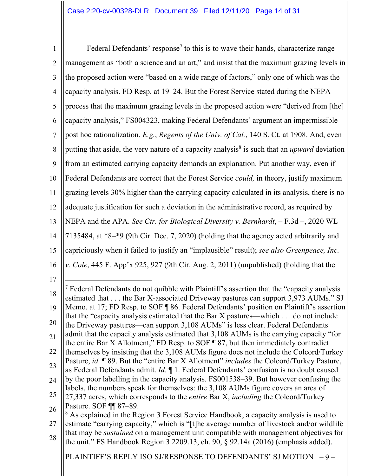1 2 3 4 5 6 7 8 9 10 11 12 13 14 15 16 Federal Defendants' response<sup>7</sup> to this is to wave their hands, characterize range management as "both a science and an art," and insist that the maximum grazing levels in the proposed action were "based on a wide range of factors," only one of which was the capacity analysis. FD Resp. at 19–24. But the Forest Service stated during the NEPA process that the maximum grazing levels in the proposed action were "derived from [the] capacity analysis," FS004323, making Federal Defendants' argument an impermissible post hoc rationalization. *E.g.*, *Regents of the Univ. of Cal.*, 140 S. Ct. at 1908. And, even putting that aside, the very nature of a capacity analysis<sup>8</sup> is such that an *upward* deviation from an estimated carrying capacity demands an explanation. Put another way, even if Federal Defendants are correct that the Forest Service *could,* in theory, justify maximum grazing levels 30% higher than the carrying capacity calculated in its analysis, there is no adequate justification for such a deviation in the administrative record, as required by NEPA and the APA. *See Ctr. for Biological Diversity v. Bernhardt*, – F.3d –, 2020 WL 7135484, at \*8–\*9 (9th Cir. Dec. 7, 2020) (holding that the agency acted arbitrarily and capriciously when it failed to justify an "implausible" result); *see also Greenpeace, Inc. v. Cole*, 445 F. App'x 925, 927 (9th Cir. Aug. 2, 2011) (unpublished) (holding that the

17

PLAINTIFF'S REPLY ISO SJ/RESPONSE TO DEFENDANTS' SJ MOTION – 9 –

<sup>18</sup> 19 20 21 22 23 24 25 26  $7$  Federal Defendants do not quibble with Plaintiff's assertion that the "capacity analysis" estimated that . . . the Bar X-associated Driveway pastures can support 3,973 AUMs." SJ Memo. at 17; FD Resp. to SOF ¶ 86. Federal Defendants' position on Plaintiff's assertion that the "capacity analysis estimated that the Bar X pastures—which . . . do not include the Driveway pastures—can support 3,108 AUMs" is less clear. Federal Defendants admit that the capacity analysis estimated that 3,108 AUMs is the carrying capacity "for the entire Bar X Allotment," FD Resp. to SOF ¶ 87, but then immediately contradict themselves by insisting that the 3,108 AUMs figure does not include the Colcord/Turkey Pasture, *id.* ¶ 89. But the "entire Bar X Allotment" *includes* the Colcord/Turkey Pasture, as Federal Defendants admit. *Id.* ¶ 1. Federal Defendants' confusion is no doubt caused by the poor labelling in the capacity analysis. FS001538–39. But however confusing the labels, the numbers speak for themselves: the 3,108 AUMs figure covers an area of 27,337 acres, which corresponds to the *entire* Bar X, *including* the Colcord/Turkey Pasture. SOF ¶¶ 87–89. <sup>8</sup> As explained in the Region 3 Forest Service Handbook, a capacity analysis is used to

<sup>27</sup> 28 estimate "carrying capacity," which is "[t]he average number of livestock and/or wildlife that may be *sustained* on a management unit compatible with management objectives for the unit." FS Handbook Region 3 2209.13, ch. 90, § 92.14a (2016) (emphasis added).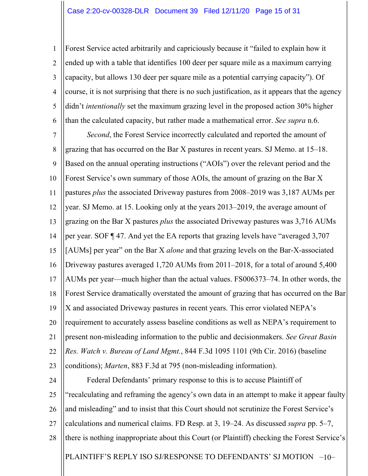1 2 3 4 5 6 Forest Service acted arbitrarily and capriciously because it "failed to explain how it ended up with a table that identifies 100 deer per square mile as a maximum carrying capacity, but allows 130 deer per square mile as a potential carrying capacity"). Of course, it is not surprising that there is no such justification, as it appears that the agency didn't *intentionally* set the maximum grazing level in the proposed action 30% higher than the calculated capacity, but rather made a mathematical error. *See supra* n.6.

7 8 9 10 11 12 13 14 15 16 17 18 19 20 21 22 23 *Second*, the Forest Service incorrectly calculated and reported the amount of grazing that has occurred on the Bar X pastures in recent years. SJ Memo. at 15–18. Based on the annual operating instructions ("AOIs") over the relevant period and the Forest Service's own summary of those AOIs, the amount of grazing on the Bar X pastures *plus* the associated Driveway pastures from 2008–2019 was 3,187 AUMs per year. SJ Memo. at 15. Looking only at the years 2013–2019, the average amount of grazing on the Bar X pastures *plus* the associated Driveway pastures was 3,716 AUMs per year. SOF ¶ 47. And yet the EA reports that grazing levels have "averaged 3,707 [AUMs] per year" on the Bar X *alone* and that grazing levels on the Bar-X-associated Driveway pastures averaged 1,720 AUMs from 2011–2018, for a total of around 5,400 AUMs per year—much higher than the actual values. FS006373–74. In other words, the Forest Service dramatically overstated the amount of grazing that has occurred on the Bar X and associated Driveway pastures in recent years. This error violated NEPA's requirement to accurately assess baseline conditions as well as NEPA's requirement to present non-misleading information to the public and decisionmakers. *See Great Basin Res. Watch v. Bureau of Land Mgmt.*, 844 F.3d 1095 1101 (9th Cir. 2016) (baseline conditions); *Marten*, 883 F.3d at 795 (non-misleading information).

PLAINTIFF'S REPLY ISO SJ/RESPONSE TO DEFENDANTS' SJ MOTION -10-24 25 26 27 28 Federal Defendants' primary response to this is to accuse Plaintiff of "recalculating and reframing the agency's own data in an attempt to make it appear faulty and misleading" and to insist that this Court should not scrutinize the Forest Service's calculations and numerical claims. FD Resp. at 3, 19–24. As discussed *supra* pp. 5–7, there is nothing inappropriate about this Court (or Plaintiff) checking the Forest Service's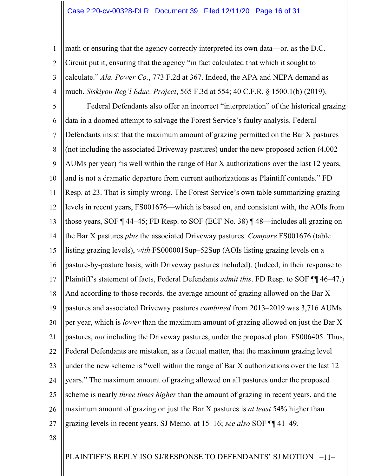1 2 3 4 math or ensuring that the agency correctly interpreted its own data—or, as the D.C. Circuit put it, ensuring that the agency "in fact calculated that which it sought to calculate." *Ala. Power Co.*, 773 F.2d at 367. Indeed, the APA and NEPA demand as much. *Siskiyou Reg'l Educ. Project*, 565 F.3d at 554; 40 C.F.R. § 1500.1(b) (2019).

5 6 7 8 9 10 11 12 13 14 15 16 17 18 19 20 21 22 23 24 25 26 27 Federal Defendants also offer an incorrect "interpretation" of the historical grazing data in a doomed attempt to salvage the Forest Service's faulty analysis. Federal Defendants insist that the maximum amount of grazing permitted on the Bar X pastures (not including the associated Driveway pastures) under the new proposed action (4,002 AUMs per year) "is well within the range of Bar X authorizations over the last 12 years, and is not a dramatic departure from current authorizations as Plaintiff contends." FD Resp. at 23. That is simply wrong. The Forest Service's own table summarizing grazing levels in recent years, FS001676—which is based on, and consistent with, the AOIs from those years, SOF ¶ 44–45; FD Resp. to SOF (ECF No. 38) ¶ 48—includes all grazing on the Bar X pastures *plus* the associated Driveway pastures. *Compare* FS001676 (table listing grazing levels), *with* FS000001Sup–52Sup (AOIs listing grazing levels on a pasture-by-pasture basis, with Driveway pastures included). (Indeed, in their response to Plaintiff's statement of facts, Federal Defendants *admit this*. FD Resp. to SOF ¶¶ 46–47.) And according to those records, the average amount of grazing allowed on the Bar X pastures and associated Driveway pastures *combined* from 2013–2019 was 3,716 AUMs per year, which is *lower* than the maximum amount of grazing allowed on just the Bar X pastures, *not* including the Driveway pastures, under the proposed plan. FS006405. Thus, Federal Defendants are mistaken, as a factual matter, that the maximum grazing level under the new scheme is "well within the range of Bar X authorizations over the last 12 years." The maximum amount of grazing allowed on all pastures under the proposed scheme is nearly *three times higher* than the amount of grazing in recent years, and the maximum amount of grazing on just the Bar X pastures is *at least* 54% higher than grazing levels in recent years. SJ Memo. at 15–16; *see also* SOF ¶¶ 41–49.

28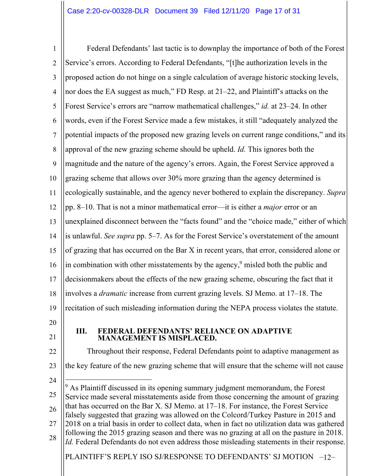1 2 3 4 5 6 7 8 9 10 11 12 13 14 15 16 17 18 19 20 21 22 23 24 25 26 27 28 Federal Defendants' last tactic is to downplay the importance of both of the Forest Service's errors. According to Federal Defendants, "[t]he authorization levels in the proposed action do not hinge on a single calculation of average historic stocking levels, nor does the EA suggest as much," FD Resp. at 21–22, and Plaintiff's attacks on the Forest Service's errors are "narrow mathematical challenges," *id.* at 23–24. In other words, even if the Forest Service made a few mistakes, it still "adequately analyzed the potential impacts of the proposed new grazing levels on current range conditions," and its approval of the new grazing scheme should be upheld. *Id.* This ignores both the magnitude and the nature of the agency's errors. Again, the Forest Service approved a grazing scheme that allows over 30% more grazing than the agency determined is ecologically sustainable, and the agency never bothered to explain the discrepancy. *Supra* pp. 8–10. That is not a minor mathematical error—it is either a *major* error or an unexplained disconnect between the "facts found" and the "choice made," either of which is unlawful. *See supra* pp. 5–7. As for the Forest Service's overstatement of the amount of grazing that has occurred on the Bar X in recent years, that error, considered alone or in combination with other misstatements by the agency,<sup>9</sup> misled both the public and decisionmakers about the effects of the new grazing scheme, obscuring the fact that it involves a *dramatic* increase from current grazing levels. SJ Memo. at 17–18. The recitation of such misleading information during the NEPA process violates the statute. **III. FEDERAL DEFENDANTS' RELIANCE ON ADAPTIVE MANAGEMENT IS MISPLACED.** Throughout their response, Federal Defendants point to adaptive management as the key feature of the new grazing scheme that will ensure that the scheme will not cause  $9$  As Plaintiff discussed in its opening summary judgment memorandum, the Forest Service made several misstatements aside from those concerning the amount of grazing that has occurred on the Bar X. SJ Memo. at 17–18. For instance, the Forest Service falsely suggested that grazing was allowed on the Colcord/Turkey Pasture in 2015 and 2018 on a trial basis in order to collect data, when in fact no utilization data was gathered following the 2015 grazing season and there was no grazing at all on the pasture in 2018. *Id.* Federal Defendants do not even address those misleading statements in their response.

PLAINTIFF'S REPLY ISO SJ/RESPONSE TO DEFENDANTS' SJ MOTION −12− |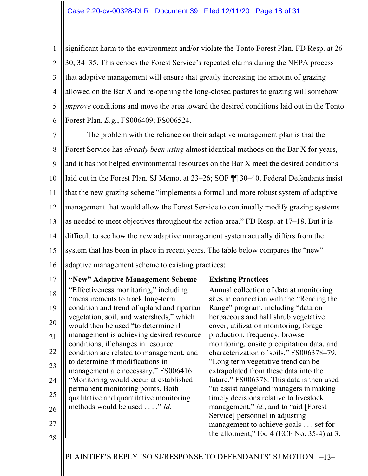1 2 3 4 5 6 significant harm to the environment and/or violate the Tonto Forest Plan. FD Resp. at 26– 30, 34–35. This echoes the Forest Service's repeated claims during the NEPA process that adaptive management will ensure that greatly increasing the amount of grazing allowed on the Bar X and re-opening the long-closed pastures to grazing will somehow *improve* conditions and move the area toward the desired conditions laid out in the Tonto Forest Plan. *E.g.*, FS006409; FS006524.

7 8 9 10 11 12 13 14 15 The problem with the reliance on their adaptive management plan is that the Forest Service has *already been using* almost identical methods on the Bar X for years, and it has not helped environmental resources on the Bar X meet the desired conditions laid out in the Forest Plan. SJ Memo. at 23–26; SOF ¶¶ 30–40. Federal Defendants insist that the new grazing scheme "implements a formal and more robust system of adaptive management that would allow the Forest Service to continually modify grazing systems as needed to meet objectives throughout the action area." FD Resp. at 17–18. But it is difficult to see how the new adaptive management system actually differs from the system that has been in place in recent years. The table below compares the "new"

|  |  | 16   adaptive management scheme to existing practices: |  |  |  |
|--|--|--------------------------------------------------------|--|--|--|
|--|--|--------------------------------------------------------|--|--|--|

| 17 | "New" Adaptive Management Scheme                                                | <b>Existing Practices</b>                                                            |
|----|---------------------------------------------------------------------------------|--------------------------------------------------------------------------------------|
| 18 | "Effectiveness monitoring," including<br>"measurements to track long-term       | Annual collection of data at monitoring<br>sites in connection with the "Reading the |
| 19 | condition and trend of upland and riparian                                      | Range" program, including "data on                                                   |
| 20 | vegetation, soil, and watersheds," which<br>would then be used "to determine if | herbaceous and half shrub vegetative<br>cover, utilization monitoring, forage        |
| 21 | management is achieving desired resource<br>conditions, if changes in resource  | production, frequency, browse<br>monitoring, onsite precipitation data, and          |
| 22 | condition are related to management, and                                        | characterization of soils." FS006378-79.                                             |
| 23 | to determine if modifications in<br>management are necessary." FS006416.        | "Long term vegetative trend can be<br>extrapolated from these data into the          |
| 24 | "Monitoring would occur at established                                          | future." FS006378. This data is then used                                            |
| 25 | permanent monitoring points. Both<br>qualitative and quantitative monitoring    | "to assist rangeland managers in making<br>timely decisions relative to livestock    |
| 26 | methods would be used" Id.                                                      | management," id., and to "aid [Forest]<br>Service] personnel in adjusting            |
| 27 |                                                                                 | management to achieve goals set for                                                  |
| 28 |                                                                                 | the allotment," Ex. $4$ (ECF No. 35-4) at 3.                                         |

PLAINTIFF'S REPLY ISO SJ/RESPONSE TO DEFENDANTS' SJ MOTION –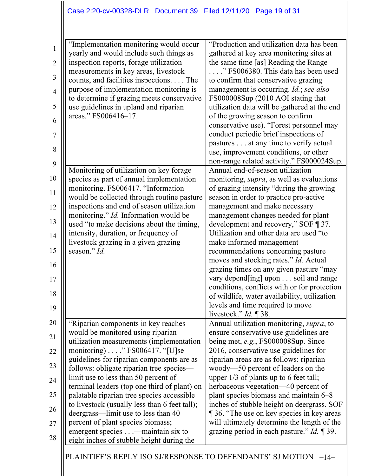| $\mathbf{1}$   | "Implementation monitoring would occur<br>yearly and would include such things as | "Production and utilization data has been<br>gathered at key area monitoring sites at |
|----------------|-----------------------------------------------------------------------------------|---------------------------------------------------------------------------------------|
| $\overline{2}$ | inspection reports, forage utilization                                            | the same time [as] Reading the Range                                                  |
|                | measurements in key areas, livestock                                              | " FS006380. This data has been used                                                   |
| $\mathfrak{Z}$ | counts, and facilities inspections. The                                           | to confirm that conservative grazing                                                  |
| $\overline{4}$ | purpose of implementation monitoring is                                           | management is occurring. Id.; see also                                                |
|                | to determine if grazing meets conservative                                        | FS000008Sup (2010 AOI stating that                                                    |
| 5              | use guidelines in upland and riparian                                             | utilization data will be gathered at the end                                          |
| 6              | areas." FS006416-17.                                                              | of the growing season to confirm                                                      |
|                |                                                                                   | conservative use). "Forest personnel may                                              |
| $\overline{7}$ |                                                                                   | conduct periodic brief inspections of                                                 |
|                |                                                                                   | pastures at any time to verify actual                                                 |
| 8              |                                                                                   | use, improvement conditions, or other                                                 |
| 9              |                                                                                   | non-range related activity." FS000024Sup.                                             |
|                | Monitoring of utilization on key forage                                           | Annual end-of-season utilization                                                      |
| 10             | species as part of annual implementation                                          | monitoring, <i>supra</i> , as well as evaluations                                     |
| 11             | monitoring. FS006417. "Information                                                | of grazing intensity "during the growing                                              |
|                | would be collected through routine pasture                                        | season in order to practice pro-active                                                |
| 12             | inspections and end of season utilization                                         | management and make necessary                                                         |
|                | monitoring." Id. Information would be                                             | management changes needed for plant                                                   |
| 13             | used "to make decisions about the timing,                                         | development and recovery," SOF ¶ 37.                                                  |
| 14             | intensity, duration, or frequency of                                              | Utilization and other data are used "to                                               |
|                | livestock grazing in a given grazing                                              | make informed management                                                              |
| 15             | season." Id.                                                                      | recommendations concerning pasture                                                    |
| 16             |                                                                                   | moves and stocking rates." Id. Actual                                                 |
|                |                                                                                   | grazing times on any given pasture "may                                               |
| 17             |                                                                                   | vary depend[ing] upon soil and range                                                  |
| 18             |                                                                                   | conditions, conflicts with or for protection                                          |
|                |                                                                                   | of wildlife, water availability, utilization                                          |
| 19             |                                                                                   | levels and time required to move                                                      |
| 20             |                                                                                   | livestock." $Id. \P 38$ .                                                             |
|                | "Riparian components in key reaches<br>would be monitored using riparian          | Annual utilization monitoring, supra, to<br>ensure conservative use guidelines are    |
| 21             | utilization measurements (implementation                                          | being met, e.g., FS000008Sup. Since                                                   |
|                | monitoring) $\ldots$ " FS006417. "[U]se                                           | 2016, conservative use guidelines for                                                 |
| 22             | guidelines for riparian components are as                                         | riparian areas are as follows: riparian                                               |
| 23             | follows: obligate riparian tree species-                                          | woody-50 percent of leaders on the                                                    |
|                | limit use to less than 50 percent of                                              | upper 1/3 of plants up to 6 feet tall;                                                |
| 24             | terminal leaders (top one third of plant) on                                      | herbaceous vegetation—40 percent of                                                   |
| 25             | palatable riparian tree species accessible                                        | plant species biomass and maintain 6–8                                                |
|                | to livestock (usually less than 6 feet tall);                                     | inches of stubble height on deergrass. SOF                                            |
| 26             | deergrass—limit use to less than 40                                               | 136. "The use on key species in key areas                                             |
| 27             | percent of plant species biomass;                                                 | will ultimately determine the length of the                                           |
|                | emergent species—maintain six to                                                  | grazing period in each pasture." Id. ¶ 39.                                            |
| 28             | eight inches of stubble height during the                                         |                                                                                       |
|                |                                                                                   |                                                                                       |

PLAINTIFF'S REPLY ISO SJ/RESPONSE TO DEFENDANTS' SJ MOTION -14-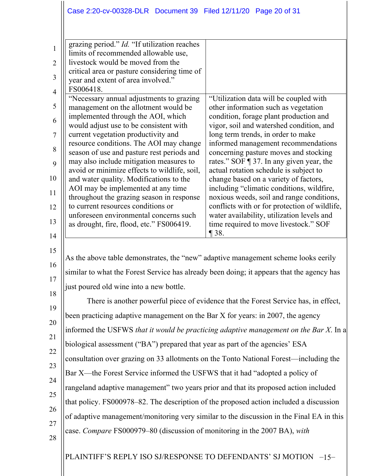| $\mathbf{1}$     | grazing period." Id. "If utilization reaches<br>limits of recommended allowable use,      |                                                                                             |  |
|------------------|-------------------------------------------------------------------------------------------|---------------------------------------------------------------------------------------------|--|
| $\overline{2}$   | livestock would be moved from the                                                         |                                                                                             |  |
| 3                | critical area or pasture considering time of<br>year and extent of area involved."        |                                                                                             |  |
| $\overline{4}$   | FS006418.                                                                                 |                                                                                             |  |
|                  | "Necessary annual adjustments to grazing                                                  | "Utilization data will be coupled with                                                      |  |
| 5                | management on the allotment would be<br>implemented through the AOI, which                | other information such as vegetation<br>condition, forage plant production and              |  |
| 6                | would adjust use to be consistent with                                                    | vigor, soil and watershed condition, and                                                    |  |
| $\boldsymbol{7}$ | current vegetation productivity and                                                       | long term trends, in order to make                                                          |  |
| 8                | resource conditions. The AOI may change<br>season of use and pasture rest periods and     | informed management recommendations<br>concerning pasture moves and stocking                |  |
| 9                | may also include mitigation measures to                                                   | rates." SOF $\P$ 37. In any given year, the                                                 |  |
| 10               | avoid or minimize effects to wildlife, soil,                                              | actual rotation schedule is subject to                                                      |  |
|                  | and water quality. Modifications to the<br>AOI may be implemented at any time             | change based on a variety of factors,<br>including "climatic conditions, wildfire,          |  |
| 11               | throughout the grazing season in response                                                 | noxious weeds, soil and range conditions,                                                   |  |
| 12               | to current resources conditions or<br>unforeseen environmental concerns such              | conflicts with or for protection of wildlife,<br>water availability, utilization levels and |  |
| 13               | as drought, fire, flood, etc." FS006419.                                                  | time required to move livestock." SOF                                                       |  |
| 14               |                                                                                           | $\P$ 38.                                                                                    |  |
| 15               |                                                                                           |                                                                                             |  |
| 16               | As the above table demonstrates, the "new" adaptive management scheme looks eerily        |                                                                                             |  |
|                  | similar to what the Forest Service has already been doing; it appears that the agency has |                                                                                             |  |
| 17               | just poured old wine into a new bottle.                                                   |                                                                                             |  |
| 18               | There is another powerful piece of evidence that the Forest Service has, in effect,       |                                                                                             |  |
| 19               | been practicing adaptive management on the Bar X for years: in 2007, the agency           |                                                                                             |  |
| 20               |                                                                                           |                                                                                             |  |
| 21               | informed the USFWS that it would be practicing adaptive management on the Bar X. In a     |                                                                                             |  |
| 22               | biological assessment ("BA") prepared that year as part of the agencies' ESA              |                                                                                             |  |
| 23               | consultation over grazing on 33 allotments on the Tonto National Forest—including the     |                                                                                             |  |
| 24               | Bar X—the Forest Service informed the USFWS that it had "adopted a policy of              |                                                                                             |  |
|                  | rangeland adaptive management" two years prior and that its proposed action included      |                                                                                             |  |
| 25               | that policy. FS000978–82. The description of the proposed action included a discussion    |                                                                                             |  |
| 26               | of adaptive management/monitoring very similar to the discussion in the Final EA in this  |                                                                                             |  |
| 27               | case. Compare FS000979–80 (discussion of monitoring in the 2007 BA), with                 |                                                                                             |  |
| 28               |                                                                                           |                                                                                             |  |
|                  | PLAINTIFF'S REPLY ISO SJ/RESPONSE TO DEFENDANTS' SJ MOTION -15-                           |                                                                                             |  |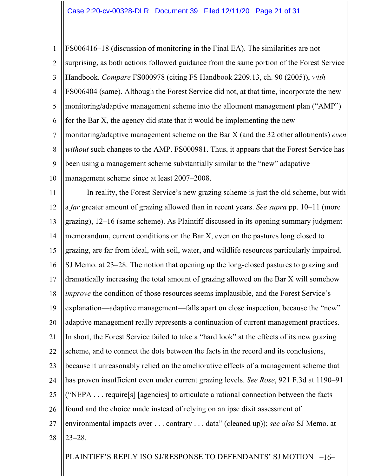1 2 3 4 5 6 7 8 9 10 FS006416–18 (discussion of monitoring in the Final EA). The similarities are not surprising, as both actions followed guidance from the same portion of the Forest Service Handbook. *Compare* FS000978 (citing FS Handbook 2209.13, ch. 90 (2005)), *with*  FS006404 (same). Although the Forest Service did not, at that time, incorporate the new monitoring/adaptive management scheme into the allotment management plan ("AMP") for the Bar X, the agency did state that it would be implementing the new monitoring/adaptive management scheme on the Bar X (and the 32 other allotments) *even without* such changes to the AMP. FS000981. Thus, it appears that the Forest Service has been using a management scheme substantially similar to the "new" adapative management scheme since at least 2007–2008.

11 12 13 14 15 16 17 18 19 20 21 22 23 24 25 26 27 28 In reality, the Forest Service's new grazing scheme is just the old scheme, but with a *far* greater amount of grazing allowed than in recent years. *See supra* pp. 10–11 (more grazing), 12–16 (same scheme). As Plaintiff discussed in its opening summary judgment memorandum, current conditions on the Bar X, even on the pastures long closed to grazing, are far from ideal, with soil, water, and wildlife resources particularly impaired. SJ Memo. at 23–28. The notion that opening up the long-closed pastures to grazing and dramatically increasing the total amount of grazing allowed on the Bar X will somehow *improve* the condition of those resources seems implausible, and the Forest Service's explanation—adaptive management—falls apart on close inspection, because the "new" adaptive management really represents a continuation of current management practices. In short, the Forest Service failed to take a "hard look" at the effects of its new grazing scheme, and to connect the dots between the facts in the record and its conclusions, because it unreasonably relied on the ameliorative effects of a management scheme that has proven insufficient even under current grazing levels. *See Rose*, 921 F.3d at 1190–91 ("NEPA . . . require[s] [agencies] to articulate a rational connection between the facts found and the choice made instead of relying on an ipse dixit assessment of environmental impacts over . . . contrary . . . data" (cleaned up)); *see also* SJ Memo. at 23–28.

PLAINTIFF'S REPLY ISO SJ/RESPONSE TO DEFENDANTS' SJ MOTION -16-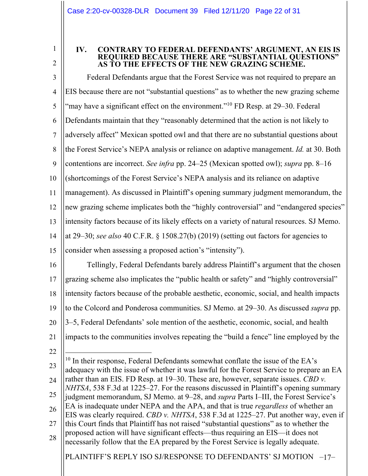1 2

## **IV. CONTRARY TO FEDERAL DEFENDANTS' ARGUMENT, AN EIS IS REQUIRED BECAUSE THERE ARE "SUBSTANTIAL QUESTIONS" AS TO THE EFFECTS OF THE NEW GRAZING SCHEME.**

3 4 5 6 7 8 9 10 11 12 13 14 15 16 17 18 19 Federal Defendants argue that the Forest Service was not required to prepare an EIS because there are not "substantial questions" as to whether the new grazing scheme "may have a significant effect on the environment."<sup>10</sup> FD Resp. at 29–30. Federal Defendants maintain that they "reasonably determined that the action is not likely to adversely affect" Mexican spotted owl and that there are no substantial questions about the Forest Service's NEPA analysis or reliance on adaptive management. *Id.* at 30. Both contentions are incorrect. *See infra* pp. 24–25 (Mexican spotted owl); *supra* pp. 8–16 (shortcomings of the Forest Service's NEPA analysis and its reliance on adaptive management). As discussed in Plaintiff's opening summary judgment memorandum, the new grazing scheme implicates both the "highly controversial" and "endangered species" intensity factors because of its likely effects on a variety of natural resources. SJ Memo. at 29–30; *see also* 40 C.F.R. § 1508.27(b) (2019) (setting out factors for agencies to consider when assessing a proposed action's "intensity"). Tellingly, Federal Defendants barely address Plaintiff's argument that the chosen grazing scheme also implicates the "public health or safety" and "highly controversial" intensity factors because of the probable aesthetic, economic, social, and health impacts to the Colcord and Ponderosa communities. SJ Memo. at 29–30. As discussed *supra* pp.

- 20 3–5, Federal Defendants' sole mention of the aesthetic, economic, social, and health
- 21 impacts to the communities involves repeating the "build a fence" line employed by the
- 22
- 23 24 25 26 27 28  $10$  In their response, Federal Defendants somewhat conflate the issue of the EA's adequacy with the issue of whether it was lawful for the Forest Service to prepare an EA rather than an EIS. FD Resp. at 19–30. These are, however, separate issues. *CBD v. NHTSA*, 538 F.3d at 1225–27. For the reasons discussed in Plaintiff's opening summary judgment memorandum, SJ Memo. at 9–28, and *supra* Parts I–III, the Forest Service's EA is inadequate under NEPA and the APA, and that is true *regardless* of whether an EIS was clearly required. *CBD v. NHTSA*, 538 F.3d at 1225–27. Put another way, even if this Court finds that Plaintiff has not raised "substantial questions" as to whether the proposed action will have significant effects—thus requiring an EIS—it does not necessarily follow that the EA prepared by the Forest Service is legally adequate.

PLAINTIFF'S REPLY ISO SJ/RESPONSE TO DEFENDANTS' SJ MOTION -17-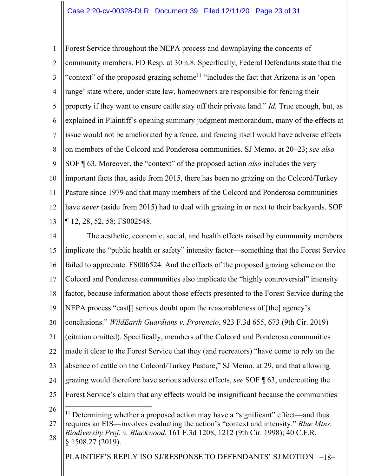1 2 3 4 5 6 7 8 9 10 11 12 13 Forest Service throughout the NEPA process and downplaying the concerns of community members. FD Resp. at 30 n.8. Specifically, Federal Defendants state that the "context" of the proposed grazing scheme<sup>11</sup> "includes the fact that Arizona is an 'open range' state where, under state law, homeowners are responsible for fencing their property if they want to ensure cattle stay off their private land." *Id.* True enough, but, as explained in Plaintiff's opening summary judgment memorandum, many of the effects at issue would not be ameliorated by a fence, and fencing itself would have adverse effects on members of the Colcord and Ponderosa communities. SJ Memo. at 20–23; *see also*  SOF ¶ 63. Moreover, the "context" of the proposed action *also* includes the very important facts that, aside from 2015, there has been no grazing on the Colcord/Turkey Pasture since 1979 and that many members of the Colcord and Ponderosa communities have *never* (aside from 2015) had to deal with grazing in or next to their backyards. SOF ¶ 12, 28, 52, 58; FS002548.

14 15 16 17 18 19 20 21 22 23 24 25 26 The aesthetic, economic, social, and health effects raised by community members implicate the "public health or safety" intensity factor—something that the Forest Service failed to appreciate. FS006524. And the effects of the proposed grazing scheme on the Colcord and Ponderosa communities also implicate the "highly controversial" intensity factor, because information about those effects presented to the Forest Service during the NEPA process "cast[] serious doubt upon the reasonableness of [the] agency's conclusions." *WildEarth Guardians v. Provencio*, 923 F.3d 655, 673 (9th Cir. 2019) (citation omitted). Specifically, members of the Colcord and Ponderosa communities made it clear to the Forest Service that they (and recreators) "have come to rely on the absence of cattle on the Colcord/Turkey Pasture," SJ Memo. at 29, and that allowing grazing would therefore have serious adverse effects, *see* SOF ¶ 63, undercutting the Forest Service's claim that any effects would be insignificant because the communities <sup>11</sup> Determining whether a proposed action may have a "significant" effect—and thus

27 28 requires an EIS—involves evaluating the action's "context and intensity." *Blue Mtns. Biodiversity Proj. v. Blackwood*, 161 F.3d 1208, 1212 (9th Cir. 1998); 40 C.F.R. § 1508.27 (2019).

PLAINTIFF'S REPLY ISO SJ/RESPONSE TO DEFENDANTS' SJ MOTION -18-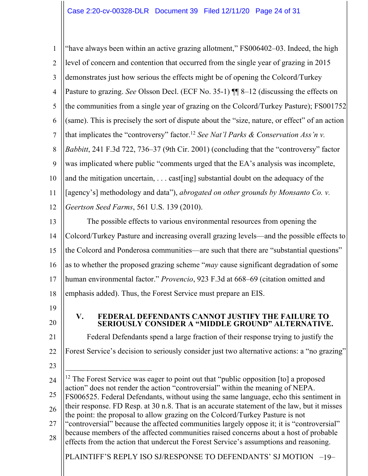1 2 3 4 5 6 7 8 9 10 11 12 13 14 "have always been within an active grazing allotment," FS006402–03. Indeed, the high level of concern and contention that occurred from the single year of grazing in 2015 demonstrates just how serious the effects might be of opening the Colcord/Turkey Pasture to grazing. *See* Olsson Decl. (ECF No. 35-1) ¶¶ 8–12 (discussing the effects on the communities from a single year of grazing on the Colcord/Turkey Pasture); FS001752 (same). This is precisely the sort of dispute about the "size, nature, or effect" of an action that implicates the "controversy" factor.12 *See Nat'l Parks & Conservation Ass'n v. Babbitt*, 241 F.3d 722, 736–37 (9th Cir. 2001) (concluding that the "controversy" factor was implicated where public "comments urged that the EA's analysis was incomplete, and the mitigation uncertain, . . . cast[ing] substantial doubt on the adequacy of the [agency's] methodology and data"), *abrogated on other grounds by Monsanto Co. v. Geertson Seed Farms*, 561 U.S. 139 (2010). The possible effects to various environmental resources from opening the Colcord/Turkey Pasture and increasing overall grazing levels—and the possible effects to

15 the Colcord and Ponderosa communities—are such that there are "substantial questions"

16 as to whether the proposed grazing scheme "*may* cause significant degradation of some

17 human environmental factor." *Provencio*, 923 F.3d at 668–69 (citation omitted and

18 emphasis added). Thus, the Forest Service must prepare an EIS.

- 19
- 20

23

28

# **V. FEDERAL DEFENDANTS CANNOT JUSTIFY THE FAILURE TO SERIOUSLY CONSIDER A "MIDDLE GROUND" ALTERNATIVE.**

21 22 Federal Defendants spend a large fraction of their response trying to justify the Forest Service's decision to seriously consider just two alternative actions: a "no grazing"

24 25 26 27 <sup>12</sup> The Forest Service was eager to point out that "public opposition [to] a proposed action" does not render the action "controversial" within the meaning of NEPA. FS006525. Federal Defendants, without using the same language, echo this sentiment in their response. FD Resp. at 30 n.8. That is an accurate statement of the law, but it misses the point: the proposal to allow grazing on the Colcord/Turkey Pasture is not "controversial" because the affected communities largely oppose it; it is "controversial" because members of the affected communities raised concerns about a host of probable

PLAINTIFF'S REPLY ISO SJ/RESPONSE TO DEFENDANTS' SJ MOTION -19effects from the action that undercut the Forest Service's assumptions and reasoning.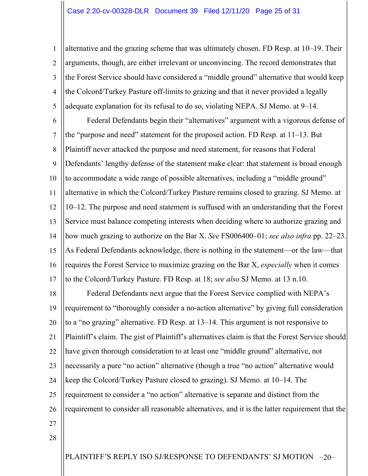1 2 3 4 5 alternative and the grazing scheme that was ultimately chosen. FD Resp. at 10–19. Their arguments, though, are either irrelevant or unconvincing. The record demonstrates that the Forest Service should have considered a "middle ground" alternative that would keep the Colcord/Turkey Pasture off-limits to grazing and that it never provided a legally adequate explanation for its refusal to do so, violating NEPA. SJ Memo. at 9–14.

6 7 8 9 10 11 12 13 14 15 16 17 Federal Defendants begin their "alternatives" argument with a vigorous defense of the "purpose and need" statement for the proposed action. FD Resp. at 11–13. But Plaintiff never attacked the purpose and need statement, for reasons that Federal Defendants' lengthy defense of the statement make clear: that statement is broad enough to accommodate a wide range of possible alternatives, including a "middle ground" alternative in which the Colcord/Turkey Pasture remains closed to grazing. SJ Memo. at 10–12. The purpose and need statement is suffused with an understanding that the Forest Service must balance competing interests when deciding where to authorize grazing and how much grazing to authorize on the Bar X. *See* FS006400–01; *see also infra* pp. 22–23. As Federal Defendants acknowledge, there is nothing in the statement—or the law—that requires the Forest Service to maximize grazing on the Bar X, *especially* when it comes to the Colcord/Turkey Pasture. FD Resp. at 18; *see also* SJ Memo. at 13 n.10.

18 19 20 21 22 23 24 25 26 Federal Defendants next argue that the Forest Service complied with NEPA's requirement to "thoroughly consider a no-action alternative" by giving full consideration to a "no grazing" alternative. FD Resp. at 13–14. This argument is not responsive to Plaintiff's claim. The gist of Plaintiff's alternatives claim is that the Forest Service should have given thorough consideration to at least one "middle ground" alternative, not necessarily a pure "no action" alternative (though a true "no action" alternative would keep the Colcord/Turkey Pasture closed to grazing). SJ Memo. at 10–14. The requirement to consider a "no action" alternative is separate and distinct from the requirement to consider all reasonable alternatives, and it is the latter requirement that the

- 27
- 28

PLAINTIFF'S REPLY ISO SJ/RESPONSE TO DEFENDANTS' SJ MOTION -20-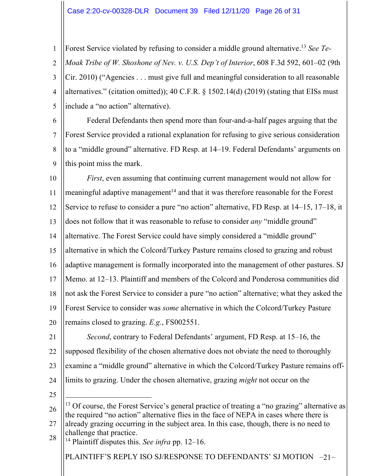### Case 2:20-cv-00328-DLR Document 39 Filed 12/11/20 Page 26 of 31

1 2 3 4 5 Forest Service violated by refusing to consider a middle ground alternative.13 *See Te-Moak Tribe of W. Shoshone of Nev. v. U.S. Dep't of Interior*, 608 F.3d 592, 601–02 (9th Cir. 2010) ("Agencies . . . must give full and meaningful consideration to all reasonable alternatives." (citation omitted)); 40 C.F.R. § 1502.14(d) (2019) (stating that EISs must include a "no action" alternative).

6 7 8 9 Federal Defendants then spend more than four-and-a-half pages arguing that the Forest Service provided a rational explanation for refusing to give serious consideration to a "middle ground" alternative. FD Resp. at 14–19. Federal Defendants' arguments on this point miss the mark.

10 11 12 13 14 15 16 17 18 19 20 *First*, even assuming that continuing current management would not allow for meaningful adaptive management<sup>14</sup> and that it was therefore reasonable for the Forest Service to refuse to consider a pure "no action" alternative, FD Resp. at 14–15, 17–18, it does not follow that it was reasonable to refuse to consider *any* "middle ground" alternative. The Forest Service could have simply considered a "middle ground" alternative in which the Colcord/Turkey Pasture remains closed to grazing and robust adaptive management is formally incorporated into the management of other pastures. SJ Memo. at 12–13. Plaintiff and members of the Colcord and Ponderosa communities did not ask the Forest Service to consider a pure "no action" alternative; what they asked the Forest Service to consider was *some* alternative in which the Colcord/Turkey Pasture remains closed to grazing. *E.g.*, FS002551.

21 22 23 24 *Second*, contrary to Federal Defendants' argument, FD Resp. at 15–16, the supposed flexibility of the chosen alternative does not obviate the need to thoroughly examine a "middle ground" alternative in which the Colcord/Turkey Pasture remains offlimits to grazing. Under the chosen alternative, grazing *might* not occur on the

25

26 27  $13$  Of course, the Forest Service's general practice of treating a "no grazing" alternative as the required "no action" alternative flies in the face of NEPA in cases where there is already grazing occurring in the subject area. In this case, though, there is no need to

28 challenge that practice. <sup>14</sup> Plaintiff disputes this. *See infra* pp. 12–16.

PLAINTIFF'S REPLY ISO SJ/RESPONSE TO DEFENDANTS' SJ MOTION -21-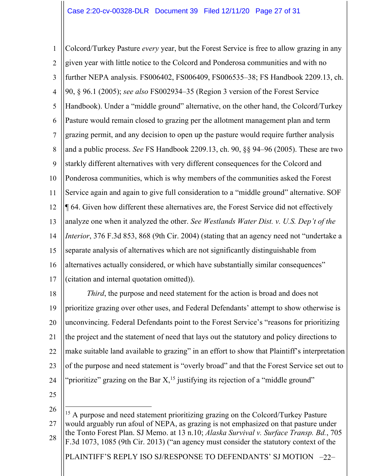1 2 3 4 5 6 7 8 9 10 11 12 13 14 15 16 17 Colcord/Turkey Pasture *every* year, but the Forest Service is free to allow grazing in any given year with little notice to the Colcord and Ponderosa communities and with no further NEPA analysis. FS006402, FS006409, FS006535–38; FS Handbook 2209.13, ch. 90, § 96.1 (2005); *see also* FS002934–35 (Region 3 version of the Forest Service Handbook). Under a "middle ground" alternative, on the other hand, the Colcord/Turkey Pasture would remain closed to grazing per the allotment management plan and term grazing permit, and any decision to open up the pasture would require further analysis and a public process. *See* FS Handbook 2209.13, ch. 90, §§ 94–96 (2005). These are two starkly different alternatives with very different consequences for the Colcord and Ponderosa communities, which is why members of the communities asked the Forest Service again and again to give full consideration to a "middle ground" alternative. SOF ¶ 64. Given how different these alternatives are, the Forest Service did not effectively analyze one when it analyzed the other. *See Westlands Water Dist. v. U.S. Dep't of the Interior*, 376 F.3d 853, 868 (9th Cir. 2004) (stating that an agency need not "undertake a separate analysis of alternatives which are not significantly distinguishable from alternatives actually considered, or which have substantially similar consequences" (citation and internal quotation omitted)).

18 19 20 21 22 23 24 *Third*, the purpose and need statement for the action is broad and does not prioritize grazing over other uses, and Federal Defendants' attempt to show otherwise is unconvincing. Federal Defendants point to the Forest Service's "reasons for prioritizing the project and the statement of need that lays out the statutory and policy directions to make suitable land available to grazing" in an effort to show that Plaintiff's interpretation of the purpose and need statement is "overly broad" and that the Forest Service set out to "prioritize" grazing on the Bar  $X<sub>1</sub><sup>15</sup>$  justifying its rejection of a "middle ground"

25

26

PLAINTIFF'S REPLY ISO SJ/RESPONSE TO DEFENDANTS' SJ MOTION -22-27 28 <sup>15</sup> A purpose and need statement prioritizing grazing on the Colcord/Turkey Pasture would arguably run afoul of NEPA, as grazing is not emphasized on that pasture under the Tonto Forest Plan. SJ Memo. at 13 n.10; *Alaska Survival v. Surface Transp. Bd.*, 705 F.3d 1073, 1085 (9th Cir. 2013) ("an agency must consider the statutory context of the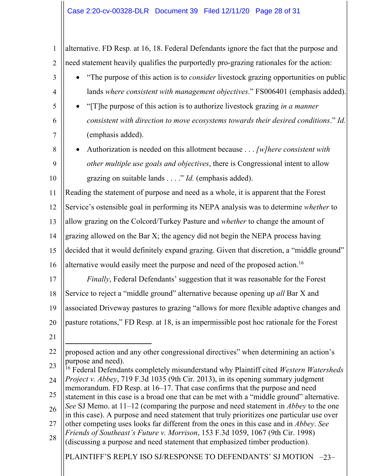| $\mathbf{1}$   | alternative. FD Resp. at 16, 18. Federal Defendants ignore the fact that the purpose and                                                                                                 |  |  |
|----------------|------------------------------------------------------------------------------------------------------------------------------------------------------------------------------------------|--|--|
| $\overline{2}$ | need statement heavily qualifies the purportedly pro-grazing rationales for the action:                                                                                                  |  |  |
| 3              | "The purpose of this action is to <i>consider</i> livestock grazing opportunities on public                                                                                              |  |  |
| 4              | lands where consistent with management objectives." FS006401 (emphasis added).                                                                                                           |  |  |
| 5              | "[T] he purpose of this action is to authorize livestock grazing in a manner"                                                                                                            |  |  |
| 6              | consistent with direction to move ecosystems towards their desired conditions." Id.                                                                                                      |  |  |
| 7              | (emphasis added).                                                                                                                                                                        |  |  |
| 8              | Authorization is needed on this allotment because $\ldots$ [w] here consistent with                                                                                                      |  |  |
| 9              | other multiple use goals and objectives, there is Congressional intent to allow                                                                                                          |  |  |
| 10             | grazing on suitable lands" <i>Id.</i> (emphasis added).                                                                                                                                  |  |  |
| 11             | Reading the statement of purpose and need as a whole, it is apparent that the Forest                                                                                                     |  |  |
| 12             | Service's ostensible goal in performing its NEPA analysis was to determine whether to                                                                                                    |  |  |
| 13             | allow grazing on the Colcord/Turkey Pasture and whether to change the amount of                                                                                                          |  |  |
| 14             | grazing allowed on the Bar X; the agency did not begin the NEPA process having                                                                                                           |  |  |
| 15             | decided that it would definitely expand grazing. Given that discretion, a "middle ground"                                                                                                |  |  |
| 16             | alternative would easily meet the purpose and need of the proposed action. <sup>16</sup>                                                                                                 |  |  |
| 17             | Finally, Federal Defendants' suggestion that it was reasonable for the Forest                                                                                                            |  |  |
| 18             | Service to reject a "middle ground" alternative because opening up all Bar X and                                                                                                         |  |  |
| 19             | associated Driveway pastures to grazing "allows for more flexible adaptive changes and                                                                                                   |  |  |
| 20             | pasture rotations," FD Resp. at 18, is an impermissible post hoc rationale for the Forest                                                                                                |  |  |
| 21             |                                                                                                                                                                                          |  |  |
| 22             | proposed action and any other congressional directives" when determining an action's                                                                                                     |  |  |
| 23             | purpose and need).<br><sup>16</sup> Federal Defendants completely misunderstand why Plaintiff cited Western Watersheds                                                                   |  |  |
| 24             | Project v. Abbey, 719 F.3d 1035 (9th Cir. 2013), in its opening summary judgment<br>memorandum. FD Resp. at 16–17. That case confirms that the purpose and need                          |  |  |
| 25             | statement in this case is a broad one that can be met with a "middle ground" alternative.                                                                                                |  |  |
| 26             | See SJ Memo. at 11–12 (comparing the purpose and need statement in <i>Abbey</i> to the one<br>in this case). A purpose and need statement that truly prioritizes one particular use over |  |  |
| 27             | other competing uses looks far different from the ones in this case and in Abbey. See                                                                                                    |  |  |
| 28             | Friends of Southeast's Future v. Morrison, 153 F.3d 1059, 1067 (9th Cir. 1998)<br>(discussing a purpose and need statement that emphasized timber production).                           |  |  |
|                | PLAINTIFF'S REPLY ISO SJ/RESPONSE TO DEFENDANTS' SJ MOTION -23-                                                                                                                          |  |  |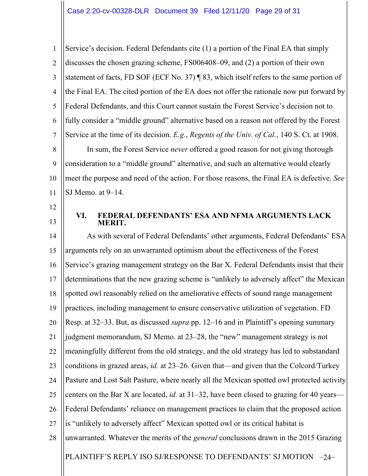1 2 3 4 5 6 7 8 9 10 11 Service's decision. Federal Defendants cite (1) a portion of the Final EA that simply discusses the chosen grazing scheme, FS006408–09, and (2) a portion of their own statement of facts, FD SOF (ECF No. 37) ¶ 83, which itself refers to the same portion of the Final EA. The cited portion of the EA does not offer the rationale now put forward by Federal Defendants, and this Court cannot sustain the Forest Service's decision not to fully consider a "middle ground" alternative based on a reason not offered by the Forest Service at the time of its decision. *E.g.*, *Regents of the Univ. of Cal.*, 140 S. Ct. at 1908. In sum, the Forest Service *never* offered a good reason for not giving thorough consideration to a "middle ground" alternative, and such an alternative would clearly meet the purpose and need of the action. For those reasons, the Final EA is defective. *See*  SJ Memo. at 9–14.

- 12
- 13

## **VI. FEDERAL DEFENDANTS' ESA AND NFMA ARGUMENTS LACK MERIT.**

PLAINTIFF'S REPLY ISO SJ/RESPONSE TO DEFENDANTS' SJ MOTION -24-14 15 16 17 18 19 20 21 22 23 24 25 26 27 28 As with several of Federal Defendants' other arguments, Federal Defendants' ESA arguments rely on an unwarranted optimism about the effectiveness of the Forest Service's grazing management strategy on the Bar X. Federal Defendants insist that their determinations that the new grazing scheme is "unlikely to adversely affect" the Mexican spotted owl reasonably relied on the ameliorative effects of sound range management practices, including management to ensure conservative utilization of vegetation. FD Resp. at 32–33. But, as discussed *supra* pp. 12–16 and in Plaintiff's opening summary judgment memorandum, SJ Memo. at 23–28, the "new" management strategy is not meaningfully different from the old strategy, and the old strategy has led to substandard conditions in grazed areas, *id.* at 23–26. Given that—and given that the Colcord/Turkey Pasture and Lost Salt Pasture, where nearly all the Mexican spotted owl protected activity centers on the Bar X are located, *id.* at 31–32, have been closed to grazing for 40 years— Federal Defendants' reliance on management practices to claim that the proposed action is "unlikely to adversely affect" Mexican spotted owl or its critical habitat is unwarranted. Whatever the merits of the *general* conclusions drawn in the 2015 Grazing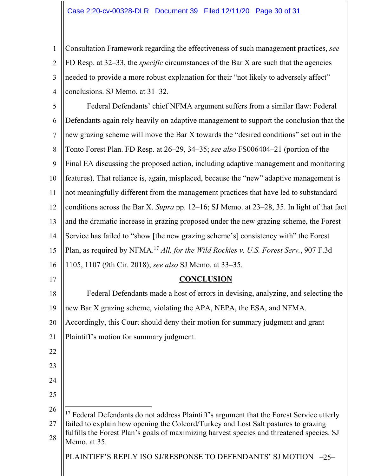1 2 3 4 Consultation Framework regarding the effectiveness of such management practices, *see*  FD Resp. at 32–33, the *specific* circumstances of the Bar X are such that the agencies needed to provide a more robust explanation for their "not likely to adversely affect" conclusions. SJ Memo. at 31–32.

5 6 7 8 9 10 11 12 13 14 15 16 17 18 19 20 21 22 23 24 25 26 27 Federal Defendants' chief NFMA argument suffers from a similar flaw: Federal Defendants again rely heavily on adaptive management to support the conclusion that the new grazing scheme will move the Bar X towards the "desired conditions" set out in the Tonto Forest Plan. FD Resp. at 26–29, 34–35; *see also* FS006404–21 (portion of the Final EA discussing the proposed action, including adaptive management and monitoring features). That reliance is, again, misplaced, because the "new" adaptive management is not meaningfully different from the management practices that have led to substandard conditions across the Bar X. *Supra* pp. 12–16; SJ Memo. at 23–28, 35. In light of that fact and the dramatic increase in grazing proposed under the new grazing scheme, the Forest Service has failed to "show [the new grazing scheme's] consistency with" the Forest Plan, as required by NFMA.17 *All. for the Wild Rockies v. U.S. Forest Serv.*, 907 F.3d 1105, 1107 (9th Cir. 2018); *see also* SJ Memo. at 33–35. **CONCLUSION** Federal Defendants made a host of errors in devising, analyzing, and selecting the new Bar X grazing scheme, violating the APA, NEPA, the ESA, and NFMA. Accordingly, this Court should deny their motion for summary judgment and grant Plaintiff's motion for summary judgment. <sup>17</sup> Federal Defendants do not address Plaintiff's argument that the Forest Service utterly failed to explain how opening the Colcord/Turkey and Lost Salt pastures to grazing fulfills the Forest Plan's goals of maximizing harvest species and threatened species. SJ

PLAINTIFF'S REPLY ISO SJ/RESPONSE TO DEFENDANTS' SJ MOTION -25-

28

Memo. at 35.